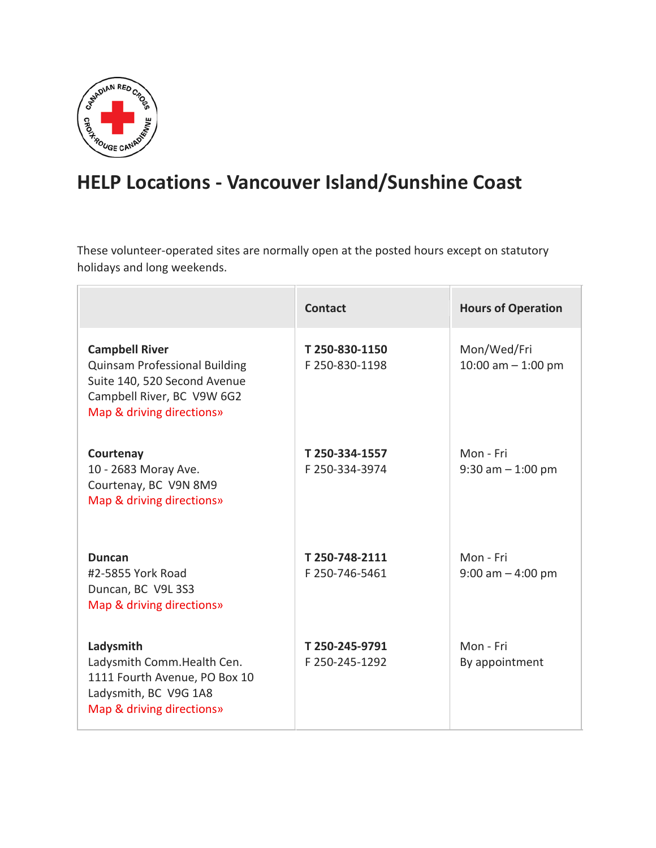

## **HELP Locations - Vancouver Island/Sunshine Coast**

These volunteer-operated sites are normally open at the posted hours except on statutory holidays and long weekends.

|                                                                                                                                                          | <b>Contact</b>                   | <b>Hours of Operation</b>           |
|----------------------------------------------------------------------------------------------------------------------------------------------------------|----------------------------------|-------------------------------------|
| <b>Campbell River</b><br><b>Quinsam Professional Building</b><br>Suite 140, 520 Second Avenue<br>Campbell River, BC V9W 6G2<br>Map & driving directions» | T 250-830-1150<br>F 250-830-1198 | Mon/Wed/Fri<br>10:00 am $-$ 1:00 pm |
| Courtenay<br>10 - 2683 Moray Ave.<br>Courtenay, BC V9N 8M9<br>Map & driving directions»                                                                  | T 250-334-1557<br>F 250-334-3974 | Mon - Fri<br>$9:30$ am $-1:00$ pm   |
| <b>Duncan</b><br>#2-5855 York Road<br>Duncan, BC V9L 3S3<br>Map & driving directions»                                                                    | T 250-748-2111<br>F 250-746-5461 | Mon - Fri<br>$9:00$ am $-4:00$ pm   |
| Ladysmith<br>Ladysmith Comm. Health Cen.<br>1111 Fourth Avenue, PO Box 10<br>Ladysmith, BC V9G 1A8<br>Map & driving directions»                          | T 250-245-9791<br>F 250-245-1292 | Mon - Fri<br>By appointment         |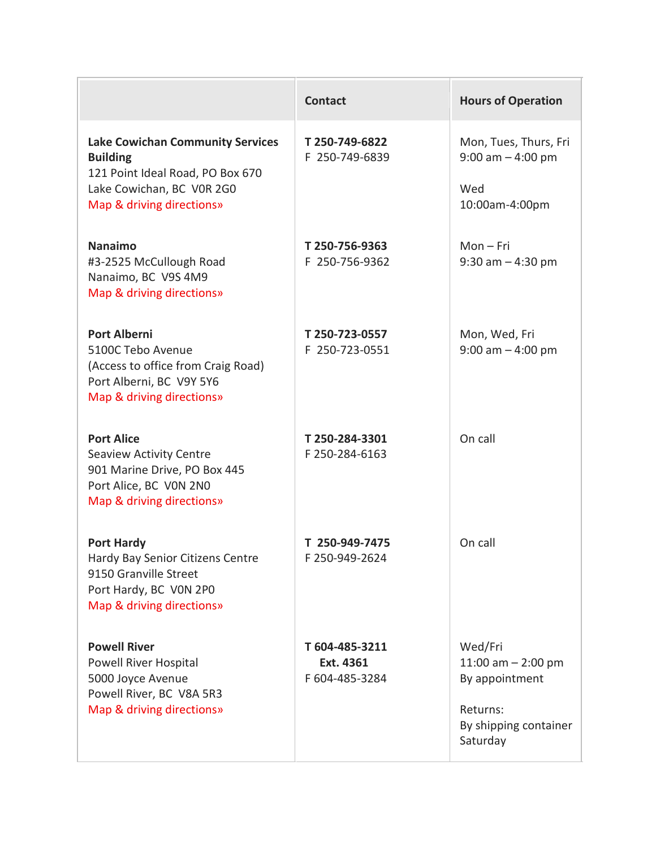|                                                                                                                                                          | <b>Contact</b>                                | <b>Hours of Operation</b>                                                                          |
|----------------------------------------------------------------------------------------------------------------------------------------------------------|-----------------------------------------------|----------------------------------------------------------------------------------------------------|
| <b>Lake Cowichan Community Services</b><br><b>Building</b><br>121 Point Ideal Road, PO Box 670<br>Lake Cowichan, BC VOR 2G0<br>Map & driving directions» | T 250-749-6822<br>F 250-749-6839              | Mon, Tues, Thurs, Fri<br>$9:00$ am $-4:00$ pm<br>Wed<br>10:00am-4:00pm                             |
| <b>Nanaimo</b><br>#3-2525 McCullough Road<br>Nanaimo, BC V9S 4M9<br>Map & driving directions»                                                            | T 250-756-9363<br>F 250-756-9362              | $Mon-Fri$<br>$9:30$ am $-4:30$ pm                                                                  |
| <b>Port Alberni</b><br>5100C Tebo Avenue<br>(Access to office from Craig Road)<br>Port Alberni, BC V9Y 5Y6<br>Map & driving directions»                  | T 250-723-0557<br>F 250-723-0551              | Mon, Wed, Fri<br>$9:00$ am $-4:00$ pm                                                              |
| <b>Port Alice</b><br><b>Seaview Activity Centre</b><br>901 Marine Drive, PO Box 445<br>Port Alice, BC VON 2NO<br>Map & driving directions»               | T 250-284-3301<br>F 250-284-6163              | On call                                                                                            |
| <b>Port Hardy</b><br>Hardy Bay Senior Citizens Centre<br>9150 Granville Street<br>Port Hardy, BC VON 2P0<br>Map & driving directions»                    | T 250-949-7475<br>F 250-949-2624              | On call                                                                                            |
| <b>Powell River</b><br>Powell River Hospital<br>5000 Joyce Avenue<br>Powell River, BC V8A 5R3<br>Map & driving directions»                               | T 604-485-3211<br>Ext. 4361<br>F 604-485-3284 | Wed/Fri<br>11:00 am $-$ 2:00 pm<br>By appointment<br>Returns:<br>By shipping container<br>Saturday |